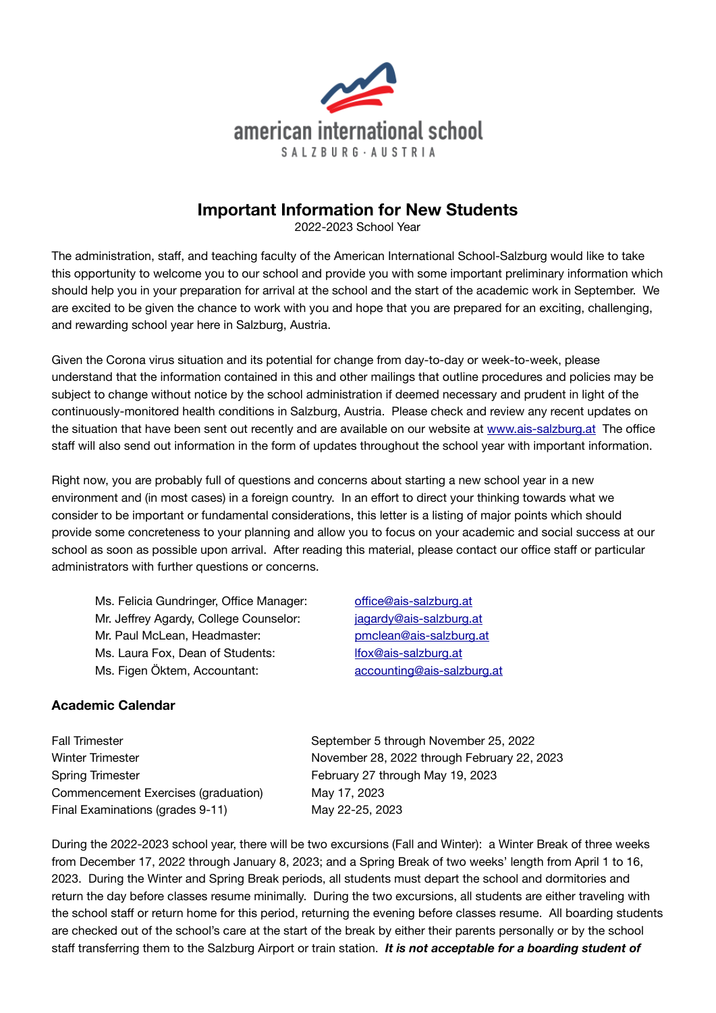

# **Important Information for New Students**

2022-2023 School Year

The administration, staff, and teaching faculty of the American International School-Salzburg would like to take this opportunity to welcome you to our school and provide you with some important preliminary information which should help you in your preparation for arrival at the school and the start of the academic work in September. We are excited to be given the chance to work with you and hope that you are prepared for an exciting, challenging, and rewarding school year here in Salzburg, Austria.

Given the Corona virus situation and its potential for change from day-to-day or week-to-week, please understand that the information contained in this and other mailings that outline procedures and policies may be subject to change without notice by the school administration if deemed necessary and prudent in light of the continuously-monitored health conditions in Salzburg, Austria. Please check and review any recent updates on the situation that have been sent out recently and are available on our website at [www.ais-salzburg.at](http://www.ais-salzburg.at) The office staff will also send out information in the form of updates throughout the school year with important information.

Right now, you are probably full of questions and concerns about starting a new school year in a new environment and (in most cases) in a foreign country. In an effort to direct your thinking towards what we consider to be important or fundamental considerations, this letter is a listing of major points which should provide some concreteness to your planning and allow you to focus on your academic and social success at our school as soon as possible upon arrival. After reading this material, please contact our office staff or particular administrators with further questions or concerns.

Ms. Felicia Gundringer, Office Manager: offi[ce@ais-salzburg.at](mailto:office@ais-salzburg.at) Mr. Jeffrey Agardy, College Counselor: *iggardy@ais-salzburg.at* Mr. Paul McLean, Headmaster: *[pmclean@ais-salzburg.at](mailto:pmclean@ais-salzburg.at)* Ms. Laura Fox, Dean of Students: *[lfox@ais-salzburg.at](mailto:lfox@ais-salzburg.at)* Ms. Figen Öktem, Accountant: [accounting@ais-salzburg.at](mailto:accounting@ais-salzburg.at)

# **Academic Calendar**

Spring Trimester **Spring Trimester Business February 27 through May 19, 2023** Commencement Exercises (graduation) May 17, 2023 Final Examinations (grades 9-11) May 22-25, 2023

Fall Trimester **Transfer Election Control** September 5 through November 25, 2022 Winter Trimester **Michael Strates and Morember 28, 2022 through February 22, 2023** 

During the 2022-2023 school year, there will be two excursions (Fall and Winter): a Winter Break of three weeks from December 17, 2022 through January 8, 2023; and a Spring Break of two weeks' length from April 1 to 16, 2023. During the Winter and Spring Break periods, all students must depart the school and dormitories and return the day before classes resume minimally. During the two excursions, all students are either traveling with the school staff or return home for this period, returning the evening before classes resume. All boarding students are checked out of the school's care at the start of the break by either their parents personally or by the school staff transferring them to the Salzburg Airport or train station. *It is not acceptable for a boarding student of*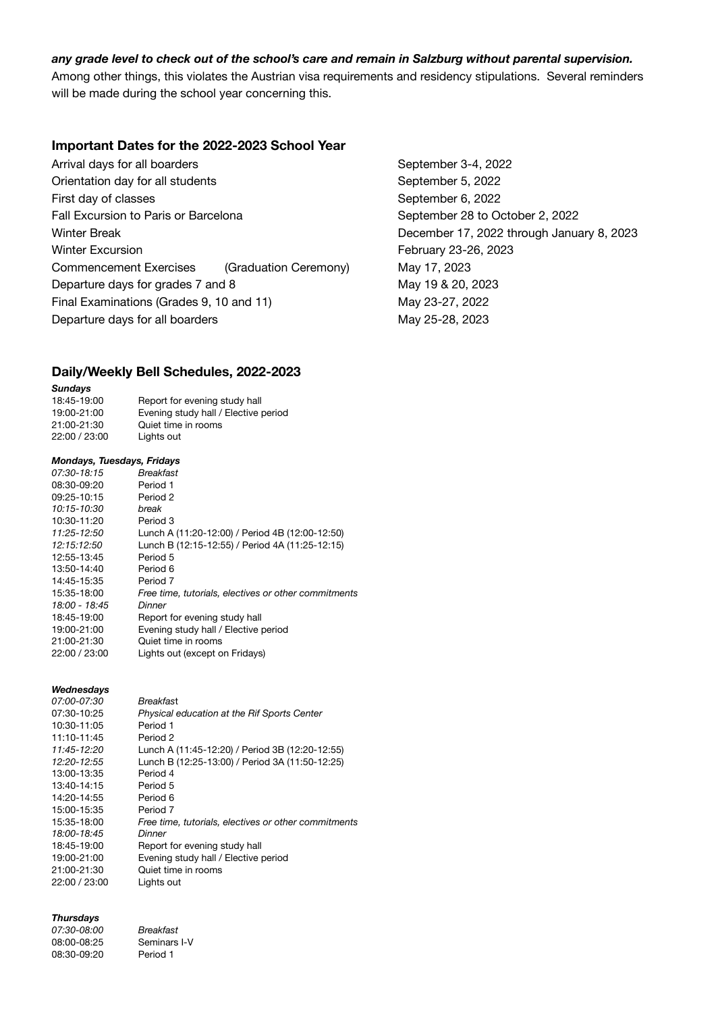# *any grade level to check out of the school's care and remain in Salzburg without parental supervision.*

Among other things, this violates the Austrian visa requirements and residency stipulations. Several reminders will be made during the school year concerning this.

#### **Important Dates for the 2022-2023 School Year**

Arrival days for all boarders **Branch 2022** September 3-4, 2022 Orientation day for all students **September 5, 2022** First day of classes **by Community** September 6, 2022 Fall Excursion to Paris or Barcelona **because the September 28 to October 2, 2022** Winter Break **Winter Break CONFIDENTIAL CONFIDENTIAL CONFIDENTIAL CONFIDENTIAL December 17, 2022 through January 8, 2023** Winter Excursion **Winter Excursion COVER 1999 February 23-26, 2023** Commencement Exercises (Graduation Ceremony) May 17, 2023 Departure days for grades 7 and 8 May 19 & 20, 2023 Final Examinations (Grades 9, 10 and 11) May 23-27, 2022 Departure days for all boarders **May 25-28, 2023** 

#### **Daily/Weekly Bell Schedules, 2022-2023**

#### *Sundays*

| 18:45-19:00   | Report for evening study hall        |
|---------------|--------------------------------------|
| 19:00-21:00   | Evening study hall / Elective period |
| 21:00-21:30   | Quiet time in rooms                  |
| 22:00 / 23:00 | Lights out                           |

#### *Mondays, Tuesdays, Fridays*

| 07:30-18:15   | Breakfast                                            |
|---------------|------------------------------------------------------|
| 08:30-09:20   | Period 1                                             |
| 09:25-10:15   | Period 2                                             |
| 10:15-10:30   | break                                                |
| 10:30-11:20   | Period 3                                             |
| 11:25-12:50   | Lunch A (11:20-12:00) / Period 4B (12:00-12:50)      |
| 12:15:12:50   | Lunch B (12:15-12:55) / Period 4A (11:25-12:15)      |
| 12:55-13:45   | Period 5                                             |
| 13:50-14:40   | Period 6                                             |
| 14:45-15:35   | Period 7                                             |
| 15:35-18:00   | Free time, tutorials, electives or other commitments |
| 18:00 - 18:45 | Dinner                                               |
| 18:45-19:00   | Report for evening study hall                        |
| 19:00-21:00   | Evening study hall / Elective period                 |
| 21:00-21:30   | Quiet time in rooms                                  |
| 22:00 / 23:00 | Lights out (except on Fridays)                       |
|               |                                                      |

#### *Wednesdays*

| <i>07:00-07:30</i> | Breakfast                                            |
|--------------------|------------------------------------------------------|
| 07:30-10:25        | Physical education at the Rif Sports Center          |
| 10:30-11:05        | Period 1                                             |
| 11:10-11:45        | Period 2                                             |
| 11:45-12:20        | Lunch A (11:45-12:20) / Period 3B (12:20-12:55)      |
| 12:20-12:55        | Lunch B (12:25-13:00) / Period 3A (11:50-12:25)      |
| 13:00-13:35        | Period 4                                             |
| 13:40-14:15        | Period 5                                             |
| 14:20-14:55        | Period 6                                             |
| 15:00-15:35        | Period 7                                             |
| 15:35-18:00        | Free time, tutorials, electives or other commitments |
| 18:00-18:45        | Dinner                                               |
| 18:45-19:00        | Report for evening study hall                        |
| 19:00-21:00        | Evening study hall / Elective period                 |
| 21:00-21:30        | Quiet time in rooms                                  |
| 22:00 / 23:00      | Lights out                                           |
|                    |                                                      |

#### *Thursdays*

*07:30-08:00 Breakfast*  08:00-08:25 Seminars I-V 08:30-09:20 Period 1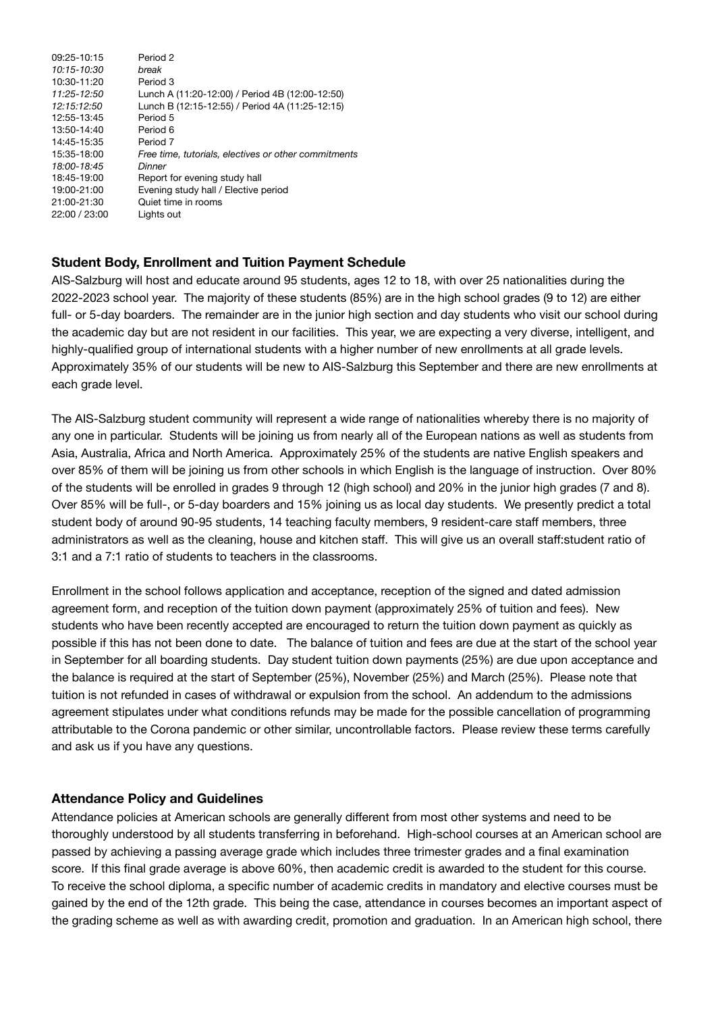| 09:25-10:15   | Period <sub>2</sub>                                  |
|---------------|------------------------------------------------------|
| 10:15-10:30   | hreak                                                |
| 10:30-11:20   | Period 3                                             |
| 11:25-12:50   | Lunch A (11:20-12:00) / Period 4B (12:00-12:50)      |
| 12:15:12:50   | Lunch B (12:15-12:55) / Period 4A (11:25-12:15)      |
| 12:55-13:45   | Period 5                                             |
| 13:50-14:40   | Period 6                                             |
| 14:45-15:35   | Period 7                                             |
| 15:35-18:00   | Free time, tutorials, electives or other commitments |
| 18:00-18:45   | Dinner                                               |
| 18:45-19:00   | Report for evening study hall                        |
| 19:00-21:00   | Evening study hall / Elective period                 |
| 21:00-21:30   | Quiet time in rooms                                  |
| 22:00 / 23:00 | Lights out                                           |
|               |                                                      |

# **Student Body, Enrollment and Tuition Payment Schedule**

AIS-Salzburg will host and educate around 95 students, ages 12 to 18, with over 25 nationalities during the 2022-2023 school year. The majority of these students (85%) are in the high school grades (9 to 12) are either full- or 5-day boarders. The remainder are in the junior high section and day students who visit our school during the academic day but are not resident in our facilities. This year, we are expecting a very diverse, intelligent, and highly-qualified group of international students with a higher number of new enrollments at all grade levels. Approximately 35% of our students will be new to AIS-Salzburg this September and there are new enrollments at each grade level.

The AIS-Salzburg student community will represent a wide range of nationalities whereby there is no majority of any one in particular. Students will be joining us from nearly all of the European nations as well as students from Asia, Australia, Africa and North America. Approximately 25% of the students are native English speakers and over 85% of them will be joining us from other schools in which English is the language of instruction. Over 80% of the students will be enrolled in grades 9 through 12 (high school) and 20% in the junior high grades (7 and 8). Over 85% will be full-, or 5-day boarders and 15% joining us as local day students. We presently predict a total student body of around 90-95 students, 14 teaching faculty members, 9 resident-care staff members, three administrators as well as the cleaning, house and kitchen staff. This will give us an overall staff:student ratio of 3:1 and a 7:1 ratio of students to teachers in the classrooms.

Enrollment in the school follows application and acceptance, reception of the signed and dated admission agreement form, and reception of the tuition down payment (approximately 25% of tuition and fees). New students who have been recently accepted are encouraged to return the tuition down payment as quickly as possible if this has not been done to date. The balance of tuition and fees are due at the start of the school year in September for all boarding students. Day student tuition down payments (25%) are due upon acceptance and the balance is required at the start of September (25%), November (25%) and March (25%). Please note that tuition is not refunded in cases of withdrawal or expulsion from the school. An addendum to the admissions agreement stipulates under what conditions refunds may be made for the possible cancellation of programming attributable to the Corona pandemic or other similar, uncontrollable factors. Please review these terms carefully and ask us if you have any questions.

# **Attendance Policy and Guidelines**

Attendance policies at American schools are generally different from most other systems and need to be thoroughly understood by all students transferring in beforehand. High-school courses at an American school are passed by achieving a passing average grade which includes three trimester grades and a final examination score. If this final grade average is above 60%, then academic credit is awarded to the student for this course. To receive the school diploma, a specific number of academic credits in mandatory and elective courses must be gained by the end of the 12th grade. This being the case, attendance in courses becomes an important aspect of the grading scheme as well as with awarding credit, promotion and graduation. In an American high school, there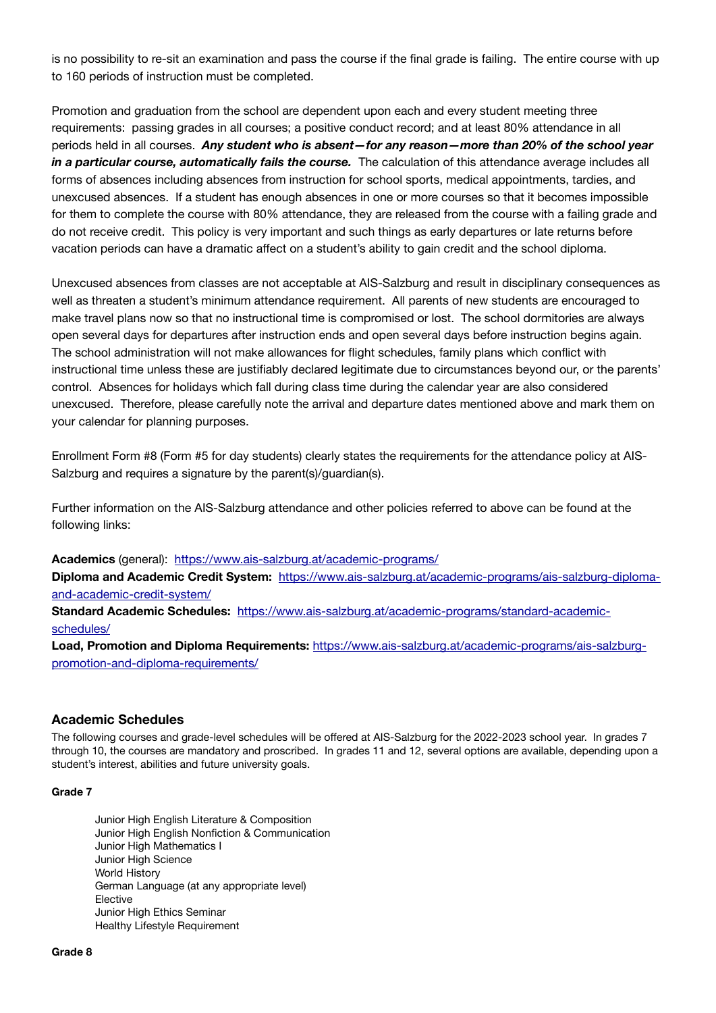is no possibility to re-sit an examination and pass the course if the final grade is failing. The entire course with up to 160 periods of instruction must be completed.

Promotion and graduation from the school are dependent upon each and every student meeting three requirements: passing grades in all courses; a positive conduct record; and at least 80% attendance in all periods held in all courses. *Any student who is absent—for any reason—more than 20% of the school year in a particular course, automatically fails the course.* The calculation of this attendance average includes all forms of absences including absences from instruction for school sports, medical appointments, tardies, and unexcused absences. If a student has enough absences in one or more courses so that it becomes impossible for them to complete the course with 80% attendance, they are released from the course with a failing grade and do not receive credit. This policy is very important and such things as early departures or late returns before vacation periods can have a dramatic affect on a student's ability to gain credit and the school diploma.

Unexcused absences from classes are not acceptable at AIS-Salzburg and result in disciplinary consequences as well as threaten a student's minimum attendance requirement. All parents of new students are encouraged to make travel plans now so that no instructional time is compromised or lost. The school dormitories are always open several days for departures after instruction ends and open several days before instruction begins again. The school administration will not make allowances for flight schedules, family plans which conflict with instructional time unless these are justifiably declared legitimate due to circumstances beyond our, or the parents' control. Absences for holidays which fall during class time during the calendar year are also considered unexcused. Therefore, please carefully note the arrival and departure dates mentioned above and mark them on your calendar for planning purposes.

Enrollment Form #8 (Form #5 for day students) clearly states the requirements for the attendance policy at AIS-Salzburg and requires a signature by the parent(s)/guardian(s).

Further information on the AIS-Salzburg attendance and other policies referred to above can be found at the following links:

**Academics** (general): <https://www.ais-salzburg.at/academic-programs/>

**Diploma and Academic Credit System:** [https://www.ais-salzburg.at/academic-programs/ais-salzburg-diploma](https://www.ais-salzburg.at/academic-programs/ais-salzburg-diploma-and-academic-credit-system/)[and-academic-credit-system/](https://www.ais-salzburg.at/academic-programs/ais-salzburg-diploma-and-academic-credit-system/)

**Standard Academic Schedules:** [https://www.ais-salzburg.at/academic-programs/standard-academic](https://www.ais-salzburg.at/academic-programs/standard-academic-schedules/)[schedules/](https://www.ais-salzburg.at/academic-programs/standard-academic-schedules/)

**Load, Promotion and Diploma Requirements:** [https://www.ais-salzburg.at/academic-programs/ais-salzburg](https://www.ais-salzburg.at/academic-programs/ais-salzburg-promotion-and-diploma-requirements/)[promotion-and-diploma-requirements/](https://www.ais-salzburg.at/academic-programs/ais-salzburg-promotion-and-diploma-requirements/)

#### **Academic Schedules**

The following courses and grade-level schedules will be offered at AIS-Salzburg for the 2022-2023 school year. In grades 7 through 10, the courses are mandatory and proscribed. In grades 11 and 12, several options are available, depending upon a student's interest, abilities and future university goals.

#### **Grade 7**

Junior High English Literature & Composition Junior High English Nonfiction & Communication Junior High Mathematics I Junior High Science World History German Language (at any appropriate level) Elective Junior High Ethics Seminar Healthy Lifestyle Requirement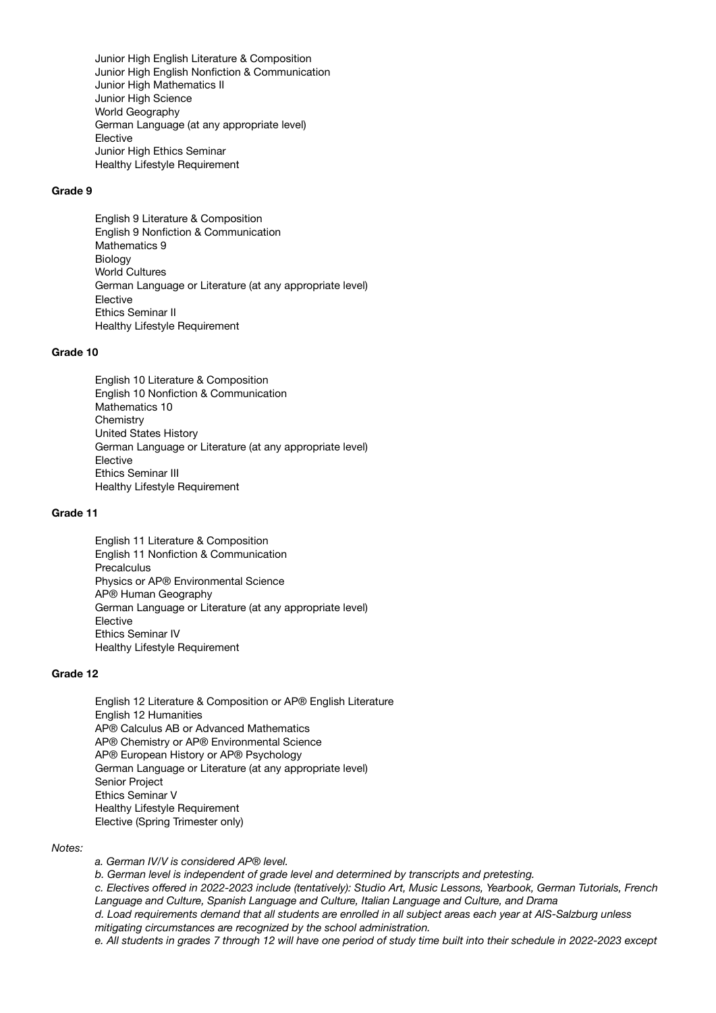Junior High English Literature & Composition Junior High English Nonfiction & Communication Junior High Mathematics II Junior High Science World Geography German Language (at any appropriate level) Elective Junior High Ethics Seminar Healthy Lifestyle Requirement

#### **Grade 9**

English 9 Literature & Composition English 9 Nonfiction & Communication Mathematics 9 Biology World Cultures German Language or Literature (at any appropriate level) Elective Ethics Seminar II Healthy Lifestyle Requirement

#### **Grade 10**

English 10 Literature & Composition English 10 Nonfiction & Communication Mathematics 10 **Chemistry** United States History German Language or Literature (at any appropriate level) Elective Ethics Seminar III Healthy Lifestyle Requirement

#### **Grade 11**

English 11 Literature & Composition English 11 Nonfiction & Communication **Precalculus** Physics or AP® Environmental Science AP® Human Geography German Language or Literature (at any appropriate level) Elective Ethics Seminar IV Healthy Lifestyle Requirement

#### **Grade 12**

English 12 Literature & Composition or AP® English Literature English 12 Humanities AP® Calculus AB or Advanced Mathematics AP® Chemistry or AP® Environmental Science AP® European History or AP® Psychology German Language or Literature (at any appropriate level) Senior Project Ethics Seminar V Healthy Lifestyle Requirement Elective (Spring Trimester only)

#### *Notes:*

*a. German IV/V is considered AP® level.*

*b. German level is independent of grade level and determined by transcripts and pretesting.*

*c. Electives offered in 2022-2023 include (tentatively): Studio Art, Music Lessons, Yearbook, German Tutorials, French Language and Culture, Spanish Language and Culture, Italian Language and Culture, and Drama*

*d. Load requirements demand that all students are enrolled in all subject areas each year at AIS-Salzburg unless mitigating circumstances are recognized by the school administration.*

*e. All students in grades 7 through 12 will have one period of study time built into their schedule in 2022-2023 except*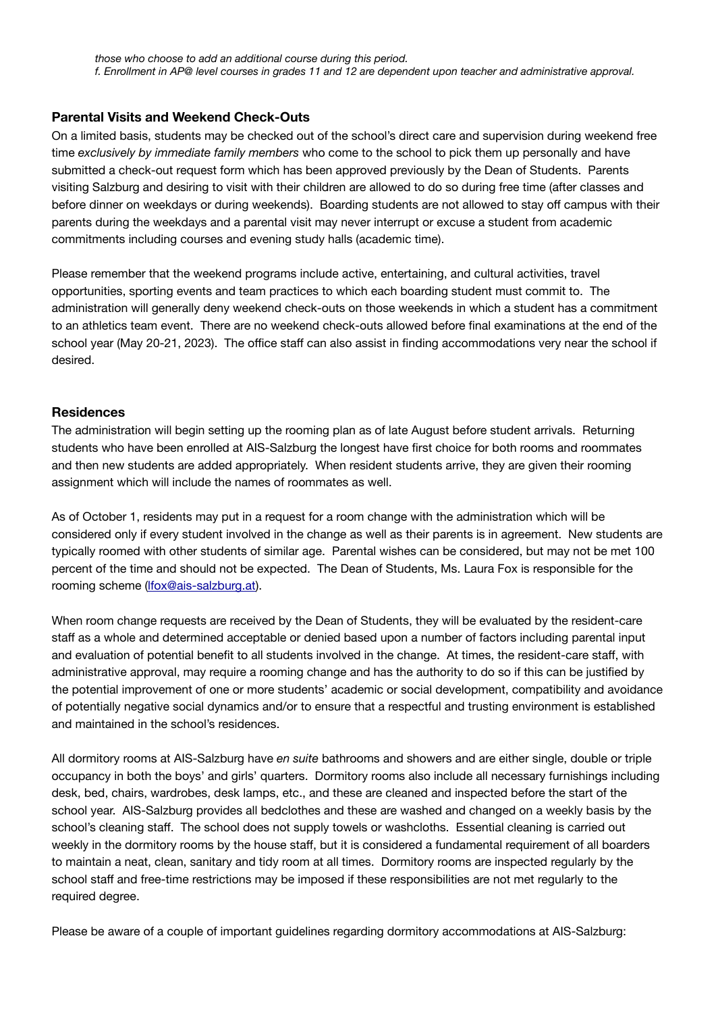### **Parental Visits and Weekend Check-Outs**

On a limited basis, students may be checked out of the school's direct care and supervision during weekend free time *exclusively by immediate family members* who come to the school to pick them up personally and have submitted a check-out request form which has been approved previously by the Dean of Students. Parents visiting Salzburg and desiring to visit with their children are allowed to do so during free time (after classes and before dinner on weekdays or during weekends). Boarding students are not allowed to stay off campus with their parents during the weekdays and a parental visit may never interrupt or excuse a student from academic commitments including courses and evening study halls (academic time).

Please remember that the weekend programs include active, entertaining, and cultural activities, travel opportunities, sporting events and team practices to which each boarding student must commit to. The administration will generally deny weekend check-outs on those weekends in which a student has a commitment to an athletics team event. There are no weekend check-outs allowed before final examinations at the end of the school year (May 20-21, 2023). The office staff can also assist in finding accommodations very near the school if desired.

### **Residences**

The administration will begin setting up the rooming plan as of late August before student arrivals. Returning students who have been enrolled at AIS-Salzburg the longest have first choice for both rooms and roommates and then new students are added appropriately. When resident students arrive, they are given their rooming assignment which will include the names of roommates as well.

As of October 1, residents may put in a request for a room change with the administration which will be considered only if every student involved in the change as well as their parents is in agreement. New students are typically roomed with other students of similar age. Parental wishes can be considered, but may not be met 100 percent of the time and should not be expected. The Dean of Students, Ms. Laura Fox is responsible for the rooming scheme [\(lfox@ais-salzburg.at\)](mailto:lfox@ais-salzburg.at).

When room change requests are received by the Dean of Students, they will be evaluated by the resident-care staff as a whole and determined acceptable or denied based upon a number of factors including parental input and evaluation of potential benefit to all students involved in the change. At times, the resident-care staff, with administrative approval, may require a rooming change and has the authority to do so if this can be justified by the potential improvement of one or more students' academic or social development, compatibility and avoidance of potentially negative social dynamics and/or to ensure that a respectful and trusting environment is established and maintained in the school's residences.

All dormitory rooms at AIS-Salzburg have *en suite* bathrooms and showers and are either single, double or triple occupancy in both the boys' and girls' quarters. Dormitory rooms also include all necessary furnishings including desk, bed, chairs, wardrobes, desk lamps, etc., and these are cleaned and inspected before the start of the school year. AIS-Salzburg provides all bedclothes and these are washed and changed on a weekly basis by the school's cleaning staff. The school does not supply towels or washcloths. Essential cleaning is carried out weekly in the dormitory rooms by the house staff, but it is considered a fundamental requirement of all boarders to maintain a neat, clean, sanitary and tidy room at all times. Dormitory rooms are inspected regularly by the school staff and free-time restrictions may be imposed if these responsibilities are not met regularly to the required degree.

Please be aware of a couple of important guidelines regarding dormitory accommodations at AIS-Salzburg: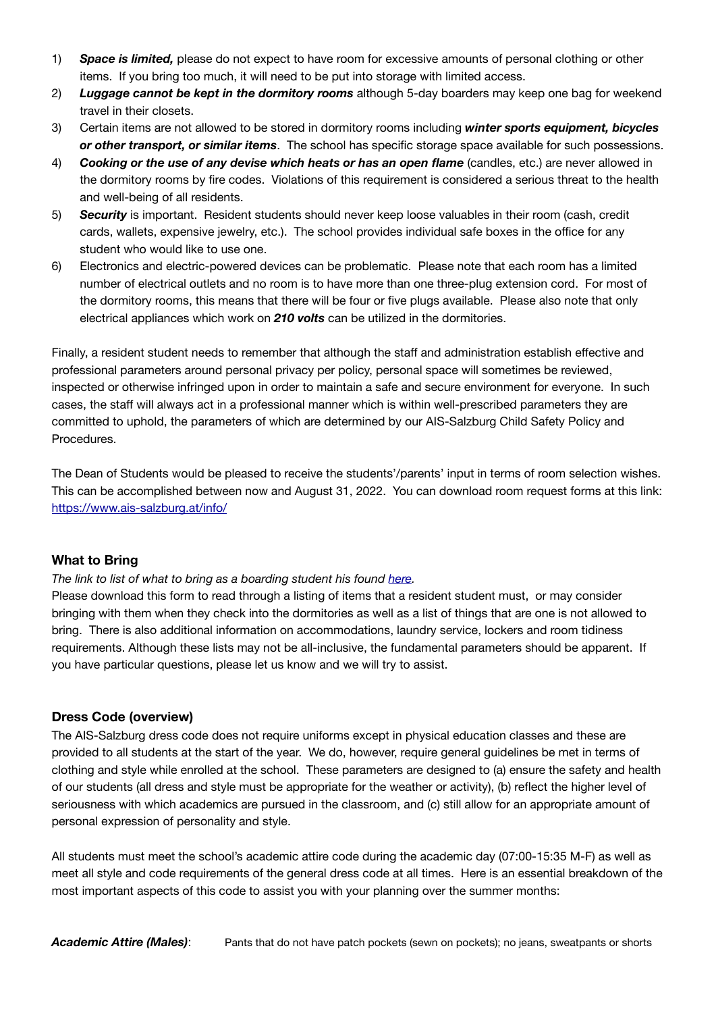- 1) *Space is limited,* please do not expect to have room for excessive amounts of personal clothing or other items. If you bring too much, it will need to be put into storage with limited access.
- 2) *Luggage cannot be kept in the dormitory rooms* although 5-day boarders may keep one bag for weekend travel in their closets.
- 3) Certain items are not allowed to be stored in dormitory rooms including *winter sports equipment, bicycles or other transport, or similar items*. The school has specific storage space available for such possessions.
- 4) *Cooking or the use of any devise which heats or has an open flame* (candles, etc.) are never allowed in the dormitory rooms by fire codes. Violations of this requirement is considered a serious threat to the health and well-being of all residents.
- 5) *Security* is important. Resident students should never keep loose valuables in their room (cash, credit cards, wallets, expensive jewelry, etc.). The school provides individual safe boxes in the office for any student who would like to use one.
- 6) Electronics and electric-powered devices can be problematic. Please note that each room has a limited number of electrical outlets and no room is to have more than one three-plug extension cord. For most of the dormitory rooms, this means that there will be four or five plugs available. Please also note that only electrical appliances which work on *210 volts* can be utilized in the dormitories.

Finally, a resident student needs to remember that although the staff and administration establish effective and professional parameters around personal privacy per policy, personal space will sometimes be reviewed, inspected or otherwise infringed upon in order to maintain a safe and secure environment for everyone. In such cases, the staff will always act in a professional manner which is within well-prescribed parameters they are committed to uphold, the parameters of which are determined by our AIS-Salzburg Child Safety Policy and Procedures.

The Dean of Students would be pleased to receive the students'/parents' input in terms of room selection wishes. This can be accomplished between now and August 31, 2022. You can download room request forms at this link: <https://www.ais-salzburg.at/info/>

# **What to Bring**

### *The link to list of what to bring as a boarding student his found [here.](https://www.ais-salzburg.at/info/)*

Please download this form to read through a listing of items that a resident student must, or may consider bringing with them when they check into the dormitories as well as a list of things that are one is not allowed to bring. There is also additional information on accommodations, laundry service, lockers and room tidiness requirements. Although these lists may not be all-inclusive, the fundamental parameters should be apparent. If you have particular questions, please let us know and we will try to assist.

### **Dress Code (overview)**

The AIS-Salzburg dress code does not require uniforms except in physical education classes and these are provided to all students at the start of the year. We do, however, require general guidelines be met in terms of clothing and style while enrolled at the school. These parameters are designed to (a) ensure the safety and health of our students (all dress and style must be appropriate for the weather or activity), (b) reflect the higher level of seriousness with which academics are pursued in the classroom, and (c) still allow for an appropriate amount of personal expression of personality and style.

All students must meet the school's academic attire code during the academic day (07:00-15:35 M-F) as well as meet all style and code requirements of the general dress code at all times. Here is an essential breakdown of the most important aspects of this code to assist you with your planning over the summer months: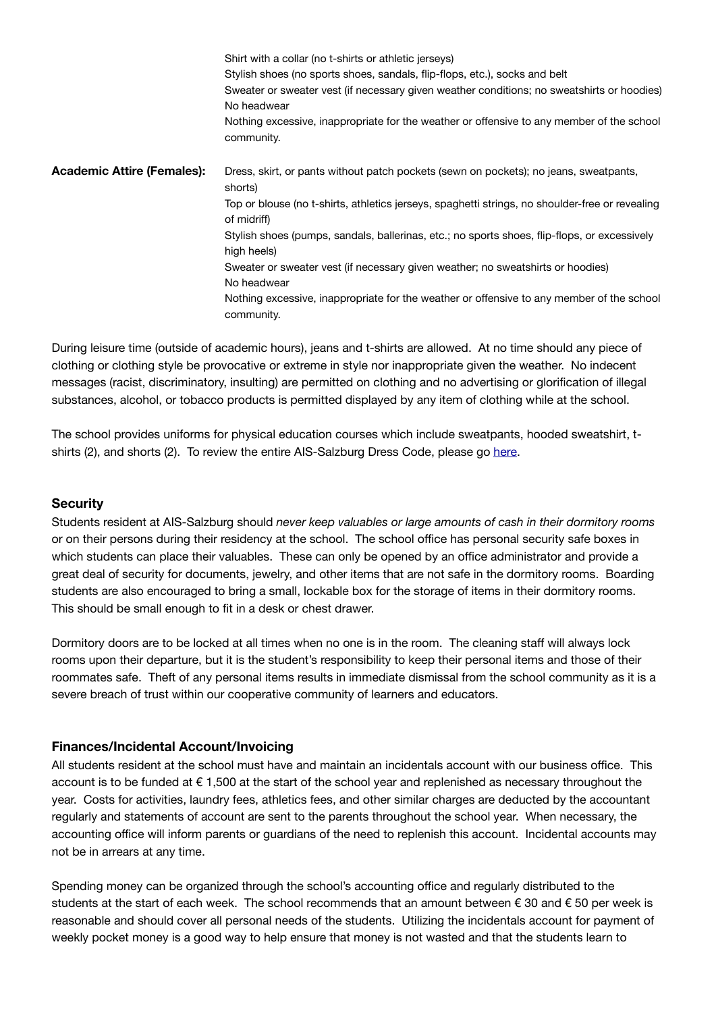|                                   | Shirt with a collar (no t-shirts or athletic jerseys)                                                          |  |  |
|-----------------------------------|----------------------------------------------------------------------------------------------------------------|--|--|
|                                   | Stylish shoes (no sports shoes, sandals, flip-flops, etc.), socks and belt                                     |  |  |
|                                   | Sweater or sweater vest (if necessary given weather conditions; no sweatshirts or hoodies)<br>No headwear      |  |  |
|                                   | Nothing excessive, inappropriate for the weather or offensive to any member of the school<br>community.        |  |  |
| <b>Academic Attire (Females):</b> | Dress, skirt, or pants without patch pockets (sewn on pockets); no jeans, sweatpants,<br>shorts)               |  |  |
|                                   | Top or blouse (no t-shirts, athletics jerseys, spaghetti strings, no shoulder-free or revealing<br>of midriff) |  |  |
|                                   | Stylish shoes (pumps, sandals, ballerinas, etc.; no sports shoes, flip-flops, or excessively<br>high heels)    |  |  |
|                                   | Sweater or sweater vest (if necessary given weather; no sweatshirts or hoodies)                                |  |  |
|                                   | No headwear                                                                                                    |  |  |
|                                   | Nothing excessive, inappropriate for the weather or offensive to any member of the school<br>community.        |  |  |

During leisure time (outside of academic hours), jeans and t-shirts are allowed. At no time should any piece of clothing or clothing style be provocative or extreme in style nor inappropriate given the weather. No indecent messages (racist, discriminatory, insulting) are permitted on clothing and no advertising or glorification of illegal substances, alcohol, or tobacco products is permitted displayed by any item of clothing while at the school.

The school provides uniforms for physical education courses which include sweatpants, hooded sweatshirt, tshirts (2), and shorts (2). To review the entire AIS-Salzburg Dress Code, please go [here.](https://www.ais-salzburg.at/wp-content/uploads/2015/02/DressCode2017.pdf)

### **Security**

Students resident at AIS-Salzburg should *never keep valuables or large amounts of cash in their dormitory rooms* or on their persons during their residency at the school. The school office has personal security safe boxes in which students can place their valuables. These can only be opened by an office administrator and provide a great deal of security for documents, jewelry, and other items that are not safe in the dormitory rooms. Boarding students are also encouraged to bring a small, lockable box for the storage of items in their dormitory rooms. This should be small enough to fit in a desk or chest drawer.

Dormitory doors are to be locked at all times when no one is in the room. The cleaning staff will always lock rooms upon their departure, but it is the student's responsibility to keep their personal items and those of their roommates safe. Theft of any personal items results in immediate dismissal from the school community as it is a severe breach of trust within our cooperative community of learners and educators.

# **Finances/Incidental Account/Invoicing**

All students resident at the school must have and maintain an incidentals account with our business office. This account is to be funded at  $\epsilon$  1,500 at the start of the school year and replenished as necessary throughout the year. Costs for activities, laundry fees, athletics fees, and other similar charges are deducted by the accountant regularly and statements of account are sent to the parents throughout the school year. When necessary, the accounting office will inform parents or guardians of the need to replenish this account. Incidental accounts may not be in arrears at any time.

Spending money can be organized through the school's accounting office and regularly distributed to the students at the start of each week. The school recommends that an amount between  $\epsilon$  30 and  $\epsilon$  50 per week is reasonable and should cover all personal needs of the students. Utilizing the incidentals account for payment of weekly pocket money is a good way to help ensure that money is not wasted and that the students learn to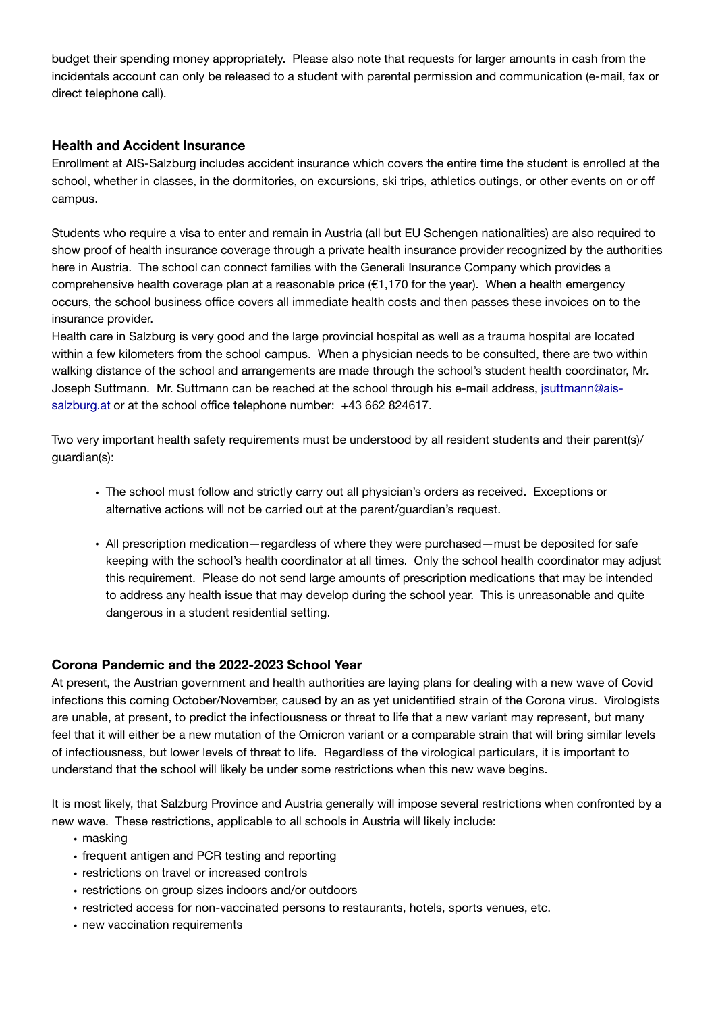budget their spending money appropriately. Please also note that requests for larger amounts in cash from the incidentals account can only be released to a student with parental permission and communication (e-mail, fax or direct telephone call).

# **Health and Accident Insurance**

Enrollment at AIS-Salzburg includes accident insurance which covers the entire time the student is enrolled at the school, whether in classes, in the dormitories, on excursions, ski trips, athletics outings, or other events on or off campus.

Students who require a visa to enter and remain in Austria (all but EU Schengen nationalities) are also required to show proof of health insurance coverage through a private health insurance provider recognized by the authorities here in Austria. The school can connect families with the Generali Insurance Company which provides a comprehensive health coverage plan at a reasonable price  $(\epsilon 1.170$  for the year). When a health emergency occurs, the school business office covers all immediate health costs and then passes these invoices on to the insurance provider.

Health care in Salzburg is very good and the large provincial hospital as well as a trauma hospital are located within a few kilometers from the school campus. When a physician needs to be consulted, there are two within walking distance of the school and arrangements are made through the school's student health coordinator, Mr. Joseph Suttmann. Mr. Suttmann can be reached at the school through his e-mail address, [jsuttmann@ais](mailto:sgonzalez@ais-salzburg.at)[salzburg.at](mailto:sgonzalez@ais-salzburg.at) or at the school office telephone number: +43 662 824617.

Two very important health safety requirements must be understood by all resident students and their parent(s)/ guardian(s):

- The school must follow and strictly carry out all physician's orders as received. Exceptions or alternative actions will not be carried out at the parent/guardian's request.
- All prescription medication—regardless of where they were purchased—must be deposited for safe keeping with the school's health coordinator at all times. Only the school health coordinator may adjust this requirement. Please do not send large amounts of prescription medications that may be intended to address any health issue that may develop during the school year. This is unreasonable and quite dangerous in a student residential setting.

### **Corona Pandemic and the 2022-2023 School Year**

At present, the Austrian government and health authorities are laying plans for dealing with a new wave of Covid infections this coming October/November, caused by an as yet unidentified strain of the Corona virus. Virologists are unable, at present, to predict the infectiousness or threat to life that a new variant may represent, but many feel that it will either be a new mutation of the Omicron variant or a comparable strain that will bring similar levels of infectiousness, but lower levels of threat to life. Regardless of the virological particulars, it is important to understand that the school will likely be under some restrictions when this new wave begins.

It is most likely, that Salzburg Province and Austria generally will impose several restrictions when confronted by a new wave. These restrictions, applicable to all schools in Austria will likely include:

- masking
- frequent antigen and PCR testing and reporting
- restrictions on travel or increased controls
- restrictions on group sizes indoors and/or outdoors
- restricted access for non-vaccinated persons to restaurants, hotels, sports venues, etc.
- new vaccination requirements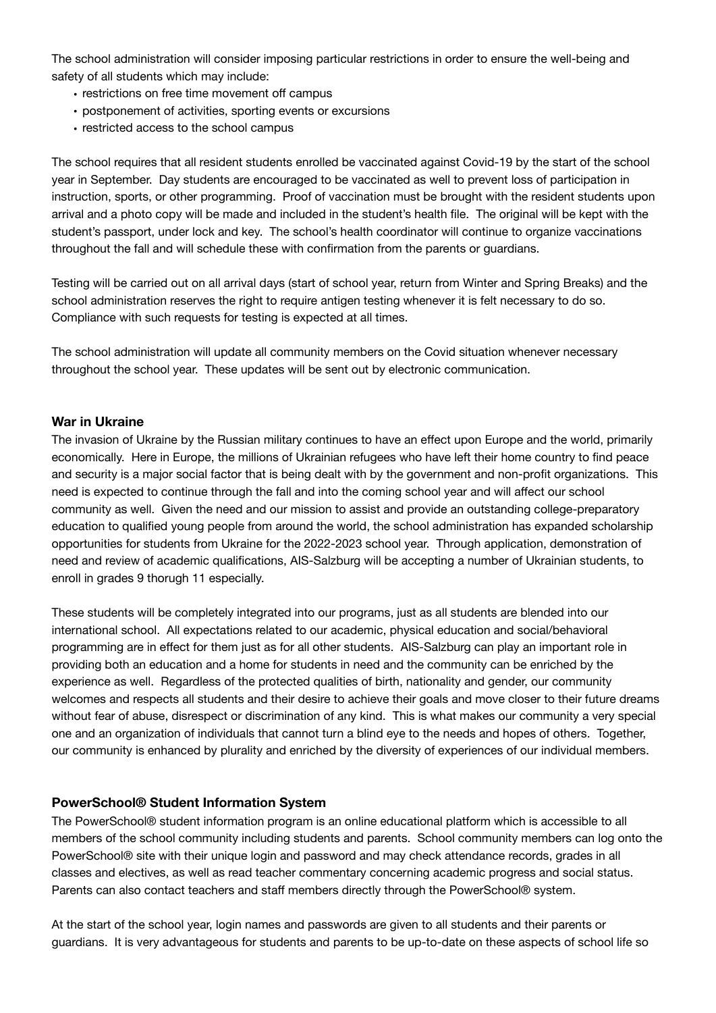The school administration will consider imposing particular restrictions in order to ensure the well-being and safety of all students which may include:

- restrictions on free time movement off campus
- postponement of activities, sporting events or excursions
- restricted access to the school campus

The school requires that all resident students enrolled be vaccinated against Covid-19 by the start of the school year in September. Day students are encouraged to be vaccinated as well to prevent loss of participation in instruction, sports, or other programming. Proof of vaccination must be brought with the resident students upon arrival and a photo copy will be made and included in the student's health file. The original will be kept with the student's passport, under lock and key. The school's health coordinator will continue to organize vaccinations throughout the fall and will schedule these with confirmation from the parents or guardians.

Testing will be carried out on all arrival days (start of school year, return from Winter and Spring Breaks) and the school administration reserves the right to require antigen testing whenever it is felt necessary to do so. Compliance with such requests for testing is expected at all times.

The school administration will update all community members on the Covid situation whenever necessary throughout the school year. These updates will be sent out by electronic communication.

### **War in Ukraine**

The invasion of Ukraine by the Russian military continues to have an effect upon Europe and the world, primarily economically. Here in Europe, the millions of Ukrainian refugees who have left their home country to find peace and security is a major social factor that is being dealt with by the government and non-profit organizations. This need is expected to continue through the fall and into the coming school year and will affect our school community as well. Given the need and our mission to assist and provide an outstanding college-preparatory education to qualified young people from around the world, the school administration has expanded scholarship opportunities for students from Ukraine for the 2022-2023 school year. Through application, demonstration of need and review of academic qualifications, AIS-Salzburg will be accepting a number of Ukrainian students, to enroll in grades 9 thorugh 11 especially.

These students will be completely integrated into our programs, just as all students are blended into our international school. All expectations related to our academic, physical education and social/behavioral programming are in effect for them just as for all other students. AIS-Salzburg can play an important role in providing both an education and a home for students in need and the community can be enriched by the experience as well. Regardless of the protected qualities of birth, nationality and gender, our community welcomes and respects all students and their desire to achieve their goals and move closer to their future dreams without fear of abuse, disrespect or discrimination of any kind. This is what makes our community a very special one and an organization of individuals that cannot turn a blind eye to the needs and hopes of others. Together, our community is enhanced by plurality and enriched by the diversity of experiences of our individual members.

# **PowerSchool® Student Information System**

The PowerSchool® student information program is an online educational platform which is accessible to all members of the school community including students and parents. School community members can log onto the PowerSchool® site with their unique login and password and may check attendance records, grades in all classes and electives, as well as read teacher commentary concerning academic progress and social status. Parents can also contact teachers and staff members directly through the PowerSchool® system.

At the start of the school year, login names and passwords are given to all students and their parents or guardians. It is very advantageous for students and parents to be up-to-date on these aspects of school life so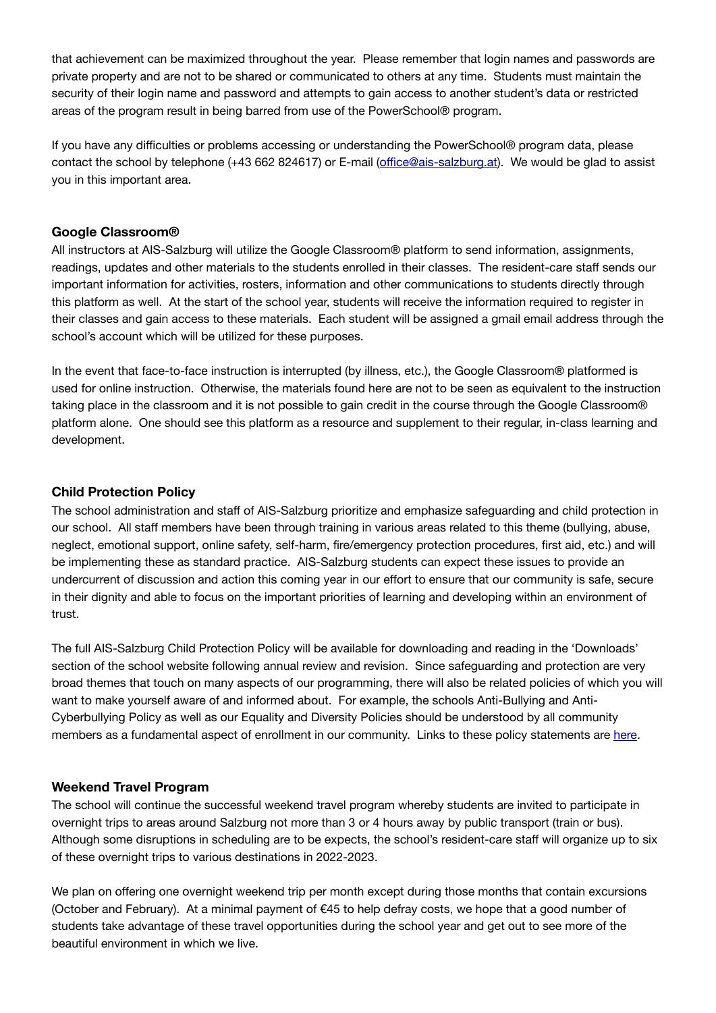that achievement can be maximized throughout the year. Please remember that login names and passwords are private property and are not to be shared or communicated to others at any time. Students must maintain the security of their login name and password and attempts to gain access to another student's data or restricted areas of the program result in being barred from use of the PowerSchool® program.

If you have any difficulties or problems accessing or understanding the PowerSchool® program data, please contact the school by telephone (+43 662 824617) or E-mail (offi[ce@ais-salzburg.at\)](mailto:office@ais-salzburg.at). We would be glad to assist you in this important area.

### **Google Classroom®**

All instructors at AIS-Salzburg will utilize the Google Classroom® platform to send information, assignments, readings, updates and other materials to the students enrolled in their classes. The resident-care staff sends our important information for activities, rosters, information and other communications to students directly through this platform as well. At the start of the school year, students will receive the information required to register in their classes and gain access to these materials. Each student will be assigned a gmail email address through the school's account which will be utilized for these purposes.

In the event that face-to-face instruction is interrupted (by illness, etc.), the Google Classroom® platformed is used for online instruction. Otherwise, the materials found here are not to be seen as equivalent to the instruction taking place in the classroom and it is not possible to gain credit in the course through the Google Classroom® platform alone. One should see this platform as a resource and supplement to their regular, in-class learning and development.

# **Child Protection Policy**

The school administration and staff of AIS-Salzburg prioritize and emphasize safeguarding and child protection in our school. All staff members have been through training in various areas related to this theme (bullying, abuse, neglect, emotional support, online safety, self-harm, fire/emergency protection procedures, first aid, etc.) and will be implementing these as standard practice. AIS-Salzburg students can expect these issues to provide an undercurrent of discussion and action this coming year in our effort to ensure that our community is safe, secure in their dignity and able to focus on the important priorities of learning and developing within an environment of trust.

The full AIS-Salzburg Child Protection Policy will be available for downloading and reading in the 'Downloads' section of the school website following annual review and revision. Since safeguarding and protection are very broad themes that touch on many aspects of our programming, there will also be related policies of which you will want to make yourself aware of and informed about. For example, the schools Anti-Bullying and Anti-Cyberbullying Policy as well as our Equality and Diversity Policies should be understood by all community members as a fundamental aspect of enrollment in our community. Links to these policy statements are [here.](https://www.ais-salzburg.at/info/)

# **Weekend Travel Program**

The school will continue the successful weekend travel program whereby students are invited to participate in overnight trips to areas around Salzburg not more than 3 or 4 hours away by public transport (train or bus). Although some disruptions in scheduling are to be expects, the school's resident-care staff will organize up to six of these overnight trips to various destinations in 2022-2023.

We plan on offering one overnight weekend trip per month except during those months that contain excursions (October and February). At a minimal payment of  $\epsilon$ 45 to help defray costs, we hope that a good number of students take advantage of these travel opportunities during the school year and get out to see more of the beautiful environment in which we live.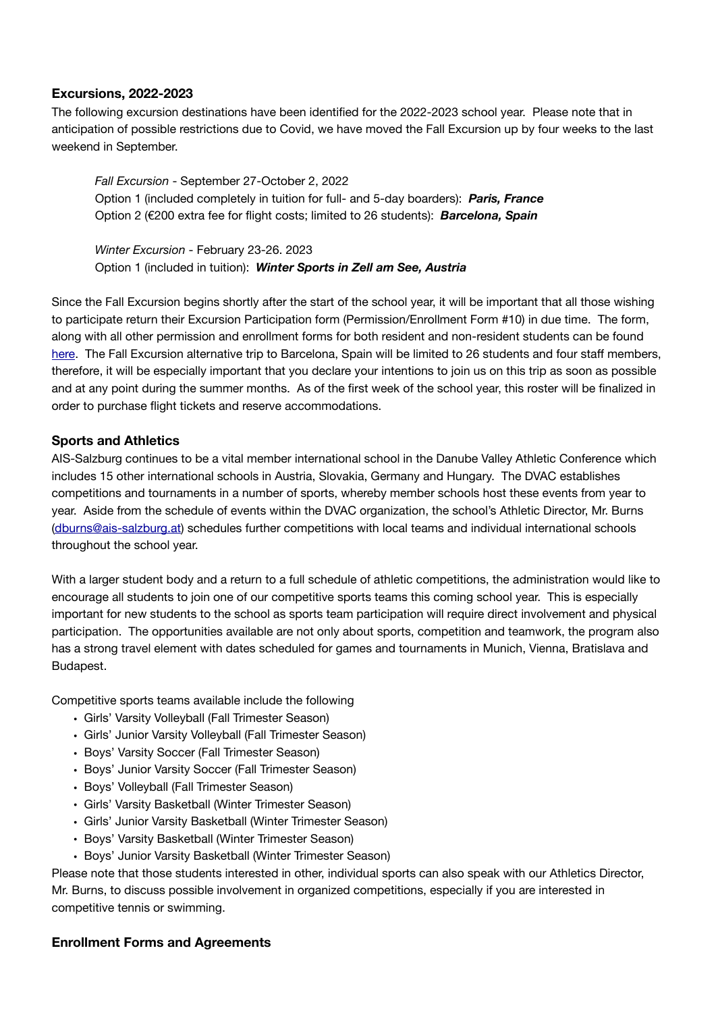## **Excursions, 2022-2023**

The following excursion destinations have been identified for the 2022-2023 school year. Please note that in anticipation of possible restrictions due to Covid, we have moved the Fall Excursion up by four weeks to the last weekend in September.

*Fall Excursion* - September 27-October 2, 2022 Option 1 (included completely in tuition for full- and 5-day boarders): *Paris, France*  Option 2 (€200 extra fee for flight costs; limited to 26 students): *Barcelona, Spain* 

*Winter Excursion* - February 23-26. 2023 Option 1 (included in tuition): *Winter Sports in Zell am See, Austria* 

Since the Fall Excursion begins shortly after the start of the school year, it will be important that all those wishing to participate return their Excursion Participation form (Permission/Enrollment Form #10) in due time. The form, along with all other permission and enrollment forms for both resident and non-resident students can be found [here](https://www.ais-salzburg.at/info/). The Fall Excursion alternative trip to Barcelona, Spain will be limited to 26 students and four staff members, therefore, it will be especially important that you declare your intentions to join us on this trip as soon as possible and at any point during the summer months. As of the first week of the school year, this roster will be finalized in order to purchase flight tickets and reserve accommodations.

### **Sports and Athletics**

AIS-Salzburg continues to be a vital member international school in the Danube Valley Athletic Conference which includes 15 other international schools in Austria, Slovakia, Germany and Hungary. The DVAC establishes competitions and tournaments in a number of sports, whereby member schools host these events from year to year. Aside from the schedule of events within the DVAC organization, the school's Athletic Director, Mr. Burns ([dburns@ais-salzburg.at\)](mailto:dburns@ais-salzburg.at) schedules further competitions with local teams and individual international schools throughout the school year.

With a larger student body and a return to a full schedule of athletic competitions, the administration would like to encourage all students to join one of our competitive sports teams this coming school year. This is especially important for new students to the school as sports team participation will require direct involvement and physical participation. The opportunities available are not only about sports, competition and teamwork, the program also has a strong travel element with dates scheduled for games and tournaments in Munich, Vienna, Bratislava and Budapest.

Competitive sports teams available include the following

- Girls' Varsity Volleyball (Fall Trimester Season)
- Girls' Junior Varsity Volleyball (Fall Trimester Season)
- Boys' Varsity Soccer (Fall Trimester Season)
- Boys' Junior Varsity Soccer (Fall Trimester Season)
- Boys' Volleyball (Fall Trimester Season)
- Girls' Varsity Basketball (Winter Trimester Season)
- Girls' Junior Varsity Basketball (Winter Trimester Season)
- Boys' Varsity Basketball (Winter Trimester Season)
- Boys' Junior Varsity Basketball (Winter Trimester Season)

Please note that those students interested in other, individual sports can also speak with our Athletics Director, Mr. Burns, to discuss possible involvement in organized competitions, especially if you are interested in competitive tennis or swimming.

# **Enrollment Forms and Agreements**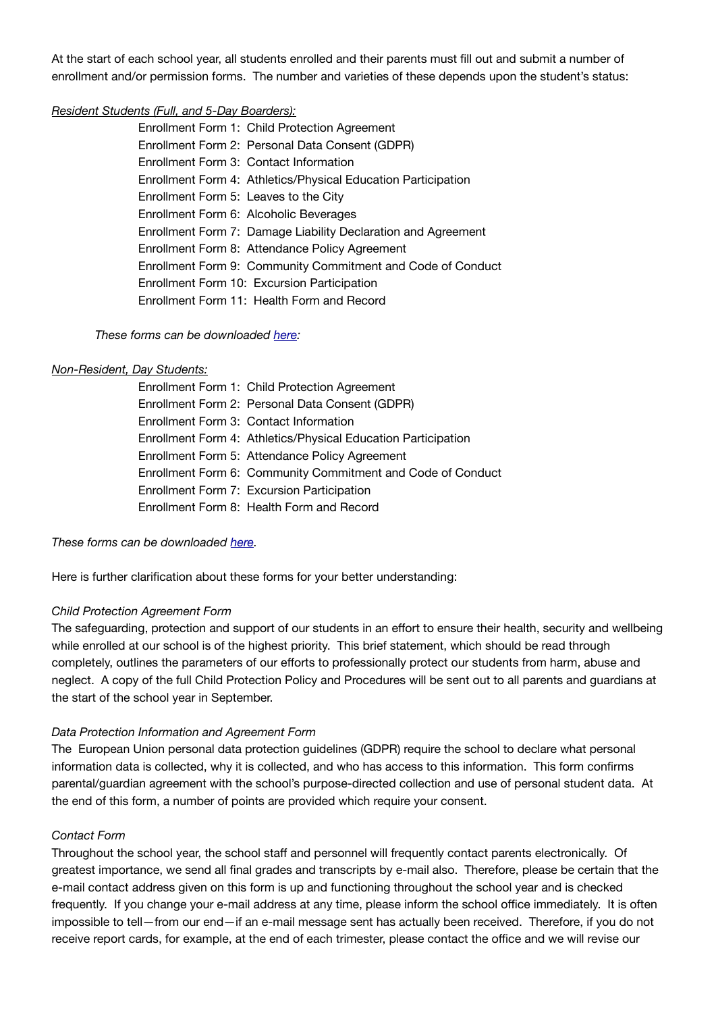At the start of each school year, all students enrolled and their parents must fill out and submit a number of enrollment and/or permission forms. The number and varieties of these depends upon the student's status:

### *Resident Students (Full, and 5-Day Boarders):*

 Enrollment Form 1: Child Protection Agreement Enrollment Form 2: Personal Data Consent (GDPR) Enrollment Form 3: Contact Information Enrollment Form 4: Athletics/Physical Education Participation Enrollment Form 5: Leaves to the City Enrollment Form 6: Alcoholic Beverages Enrollment Form 7: Damage Liability Declaration and Agreement Enrollment Form 8: Attendance Policy Agreement Enrollment Form 9: Community Commitment and Code of Conduct Enrollment Form 10: Excursion Participation Enrollment Form 11: Health Form and Record

*These forms can be downloaded [here](https://www.ais-salzburg.at/info/):* 

### *Non-Resident, Day Students:*

|  | Enrollment Form 1: Child Protection Agreement                 |
|--|---------------------------------------------------------------|
|  | Enrollment Form 2: Personal Data Consent (GDPR)               |
|  | Enrollment Form 3: Contact Information                        |
|  | Enrollment Form 4: Athletics/Physical Education Participation |
|  | Enrollment Form 5: Attendance Policy Agreement                |
|  | Enrollment Form 6: Community Commitment and Code of Conduct   |
|  | Enrollment Form 7: Excursion Participation                    |
|  | Enrollment Form 8: Health Form and Record                     |

# *These forms can be downloaded [here](https://www.ais-salzburg.at/info/).*

Here is further clarification about these forms for your better understanding:

# *Child Protection Agreement Form*

The safeguarding, protection and support of our students in an effort to ensure their health, security and wellbeing while enrolled at our school is of the highest priority. This brief statement, which should be read through completely, outlines the parameters of our efforts to professionally protect our students from harm, abuse and neglect. A copy of the full Child Protection Policy and Procedures will be sent out to all parents and guardians at the start of the school year in September.

# *Data Protection Information and Agreement Form*

The European Union personal data protection guidelines (GDPR) require the school to declare what personal information data is collected, why it is collected, and who has access to this information. This form confirms parental/guardian agreement with the school's purpose-directed collection and use of personal student data. At the end of this form, a number of points are provided which require your consent.

# *Contact Form*

Throughout the school year, the school staff and personnel will frequently contact parents electronically. Of greatest importance, we send all final grades and transcripts by e-mail also. Therefore, please be certain that the e-mail contact address given on this form is up and functioning throughout the school year and is checked frequently. If you change your e-mail address at any time, please inform the school office immediately. It is often impossible to tell—from our end—if an e-mail message sent has actually been received. Therefore, if you do not receive report cards, for example, at the end of each trimester, please contact the office and we will revise our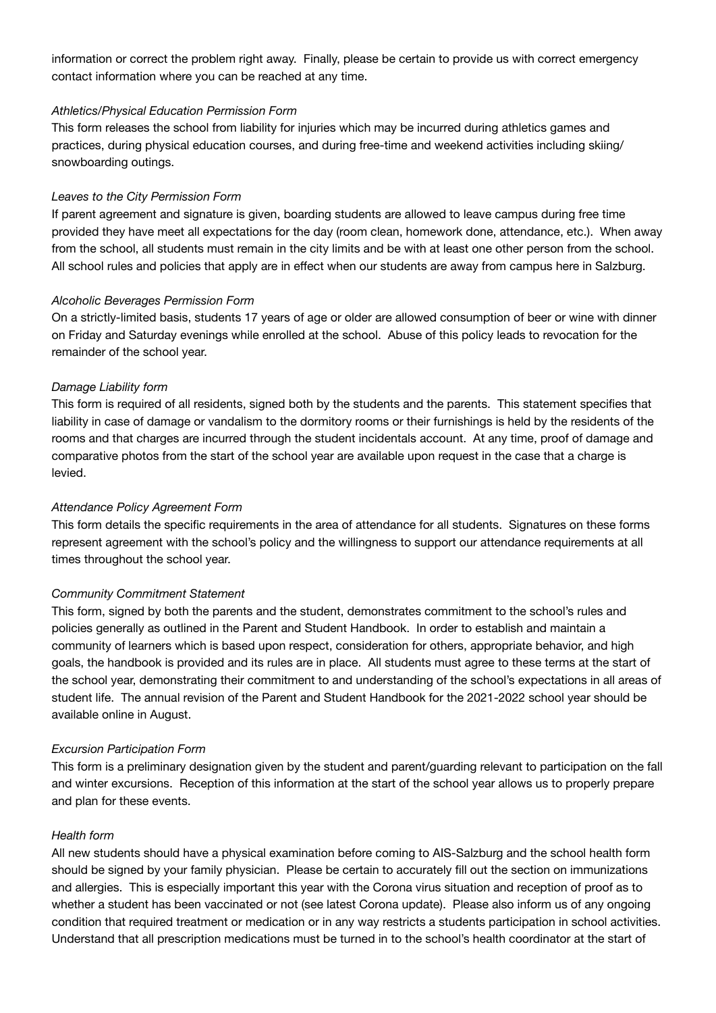information or correct the problem right away. Finally, please be certain to provide us with correct emergency contact information where you can be reached at any time.

#### *Athletics/Physical Education Permission Form*

This form releases the school from liability for injuries which may be incurred during athletics games and practices, during physical education courses, and during free-time and weekend activities including skiing/ snowboarding outings.

#### *Leaves to the City Permission Form*

If parent agreement and signature is given, boarding students are allowed to leave campus during free time provided they have meet all expectations for the day (room clean, homework done, attendance, etc.). When away from the school, all students must remain in the city limits and be with at least one other person from the school. All school rules and policies that apply are in effect when our students are away from campus here in Salzburg.

#### *Alcoholic Beverages Permission Form*

On a strictly-limited basis, students 17 years of age or older are allowed consumption of beer or wine with dinner on Friday and Saturday evenings while enrolled at the school. Abuse of this policy leads to revocation for the remainder of the school year.

#### *Damage Liability form*

This form is required of all residents, signed both by the students and the parents. This statement specifies that liability in case of damage or vandalism to the dormitory rooms or their furnishings is held by the residents of the rooms and that charges are incurred through the student incidentals account. At any time, proof of damage and comparative photos from the start of the school year are available upon request in the case that a charge is levied.

#### *Attendance Policy Agreement Form*

This form details the specific requirements in the area of attendance for all students. Signatures on these forms represent agreement with the school's policy and the willingness to support our attendance requirements at all times throughout the school year.

#### *Community Commitment Statement*

This form, signed by both the parents and the student, demonstrates commitment to the school's rules and policies generally as outlined in the Parent and Student Handbook. In order to establish and maintain a community of learners which is based upon respect, consideration for others, appropriate behavior, and high goals, the handbook is provided and its rules are in place. All students must agree to these terms at the start of the school year, demonstrating their commitment to and understanding of the school's expectations in all areas of student life. The annual revision of the Parent and Student Handbook for the 2021-2022 school year should be available online in August.

#### *Excursion Participation Form*

This form is a preliminary designation given by the student and parent/guarding relevant to participation on the fall and winter excursions. Reception of this information at the start of the school year allows us to properly prepare and plan for these events.

#### *Health form*

All new students should have a physical examination before coming to AIS-Salzburg and the school health form should be signed by your family physician. Please be certain to accurately fill out the section on immunizations and allergies. This is especially important this year with the Corona virus situation and reception of proof as to whether a student has been vaccinated or not (see latest Corona update). Please also inform us of any ongoing condition that required treatment or medication or in any way restricts a students participation in school activities. Understand that all prescription medications must be turned in to the school's health coordinator at the start of